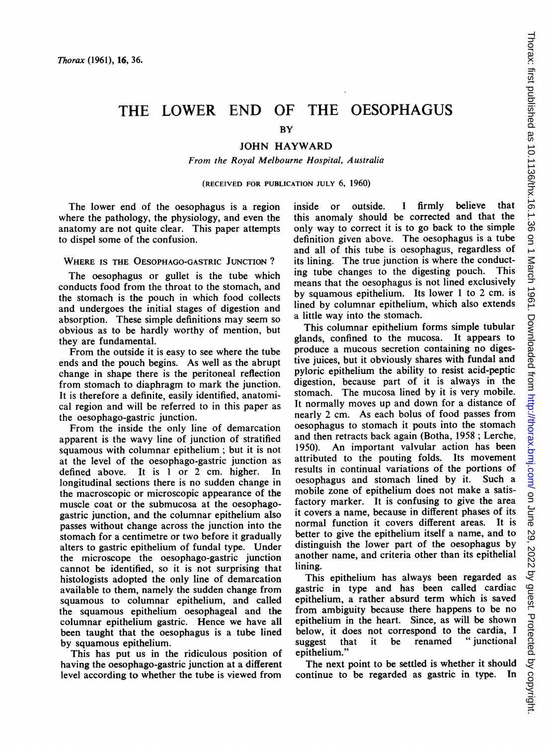# THE LOWER END OF THE OESOPHAGUS

**BY** 

## JOHN HAYWARD

From the Royal Melbourne Hospital, Australia

(RECEIVED FOR PUBLICATION JULY 6, 1960)

The lower end of the oesophagus is a region where the pathology, the physiology, and even the anatomy are not quite clear. This paper attempts to dispel some of the confusion.

WHERE IS THE OESOPHAGO-GASTRIC JUNCTION ?

The oesophagus or gullet is the tube which conducts food from the throat to the stomach, and the stomach is the pouch in which food collects and undergoes the initial stages of digestion and absorption. These simple definitions may seem so obvious as to be hardly worthy of mention, but they are fundamental.

From the outside it is easy to see where the tube ends and the pouch begins. As well as the abrupt change in shape there is the peritoneal reflection from stomach to diaphragm to mark the junction. It is therefore a definite, easily identified, anatomical region and will be referred to in this paper as the oesophago-gastric junction.

From the inside the only line of demarcation apparent is the wavy line of junction of stratified squamous with columnar epithelium; but it is not at the level of the oesophago-gastric junction as defined above. It is <sup>1</sup> or 2 cm. higher. In longitudinal sections there is no sudden change in the macroscopic or microscopic appearance of the muscle coat or the submucosa at the oesophagogastric junction, and the columnar epithelium also passes without change across the junction into the stomach for a centimetre or two before it gradually alters to gastric epithelium of fundal type. Under the microscope the oesophago-gastric junction cannot be identified, so it is not surprising that histologists adopted the only line of demarcation available to them, namely the sudden change from squamous to columnar epithelium, and called the squamous epithelium oesophageal and the columnar epithelium gastric. Hence we have all been taught that the oesophagus is a tube lined by squamous epithelium.

This has put us in the ridiculous position of having the oesophago-gastric junction at a different level according to whether the tube is viewed from

inside or outside. <sup>I</sup> firmly believe that this anomaly should be corrected and that the only way to correct it is to go back to the simple definition given above. The oesophagus is a tube and all of this tube is oesophagus, regardless of its lining. The true junction is where the conduct-<br>ing tube changes to the digesting pouch. This ing tube changes to the digesting pouch. means that the oesophagus is not lined exclusively by squamous epithelium. Its lower <sup>1</sup> to 2 cm. is lined by columnar epithelium, which also extends a little way into the stomach.

This columnar epithelium forms simple tubular glands, confined to the mucosa. It appears to produce a mucous secretion containing no digestive juices, but it obviously shares with fundal and pyloric epithelium the ability to resist acid-peptic digestion, because part of it is always in the stomach. The mucosa lined by it is very mobile. It normally moves up and down for a distance of nearly 2 cm. As each bolus of food passes from oesophagus to stomach it pouts into the stomach and then retracts back again (Botha, 1958; Lerche, 1950). An important valvular action has been attributed to the pouting folds. Its movement results in continual variations of the portions of oesophagus and stomach lined by it. Such a mobile zone of epithelium does not make a satisfactory marker. It is confusing to give the area it covers a name, because in different phases of its normal function it covers different areas. It is better to give the epithelium itself a name, and to distinguish the lower part of the oesophagus by another name, and criteria other than its epithelial lining.

This epithelium has always been regarded as gastric in type and has been called cardiac epithelium, a rather absurd term which is saved from ambiguity because there happens to be no epithelium in the heart. Since, as will be shown below, it does not correspond to the cardia, I<br>suggest that it be renamed "iunctional suggest that it be renamed "junctional epithelium."

The next point to be settled is whether it should continue to be regarded as gastric in type. In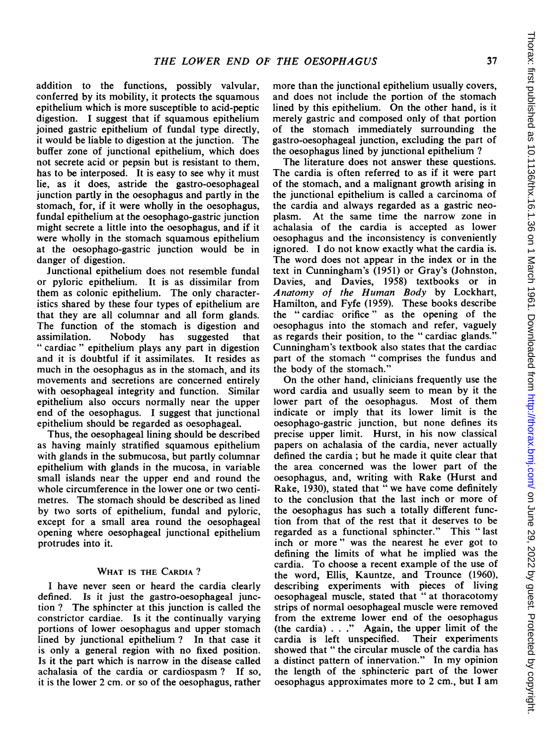addition to the functions, possibly valvular, conferred by its mobility, it protects the squamous epithelium which is more susceptible to acid-peptic digestion. I suggest that if squamous epithelium joined gastric epithelium of fundal type directly, it would be liable to digestion at the junction. The buffer zone of junctional epithelium, which does not secrete acid or pepsin but is resistant to them, has to be interposed. It is easy to see why it must lie, as it does, astride the gastro-oesophageal junction partly in the oesophagus and partly in the stomach, for, if it were wholly in the oesophagus, fundal epithelium at the oesophago-gastric junction might secrete a little into the oesophagus, and if it were wholly in the stomach squamous epithelium at the oesophago-gastric junction would be in danger of digestion.

Junctional epithelium does not resemble fundal or pyloric epithelium. It is as dissimilar from them as colonic epithelium. The only characteristics shared by these four types of epithelium are that they are all columnar and all form glands. The function of the stomach is digestion and<br>assimilation. Nobody has suggested that assimilation. Nobody has suggested that " cardiac " epithelium plays any part in digestion and it is doubtful if it assimilates. It resides as much in the oesophagus as in the stomach, and its movements and secretions are concerned entirely with oesophageal integrity and function. Similar epithelium also occurs normally near the upper end of the oesophagus. <sup>I</sup> suggest that junctional epithelium should be regarded as oesophageal.

Thus, the oesophageal lining should be described as having mainly stratified squamous epithelium with glands in the submucosa, but partly columnar epithelium with glands in the mucosa, in variable small islands near the upper end and round the whole circumference in the lower one or two centimetres. The stomach should be described as lined by two sorts of epithelium, fundal and pyloric, except for a small area round the oesophageal opening where oesophageal junctional epithelium protrudes into it.

### WHAT IS THE CARDIA ?

<sup>I</sup> have never seen or heard the cardia clearly defined. Is it just the gastro-oesophageal junction ? The sphincter at this junction is called the constrictor cardiae. Is it the continually varying portions of lower oesophagus and upper stomach lined by junctional epithelium ? In that case it is only a general region with no fixed position. Is it the part which is narrow in the disease called achalasia of the cardia or cardiospasm ? If so, it is the lower 2 cm. or so of the oesophagus, rather

more than the junctional epithelium usually covers, and does not include the portion of the stomach lined by this epithelium. On the other hand, is it merely gastric and composed only of that portion of the stomach immediately surrounding the gastro-oesophageal junction, excluding the part of the oesophagus lined by junctional epithelium ?

The literature does not answer these questions. The cardia is often referred to as if it were part of the stomach, and a malignant growth arising in the junctional epithelium is called a carcinoma of the cardia and always regarded as a gastric neoplasm. At the same time the narrow zone in achalasia of the cardia is accepted as lower oesophagus and the inconsistency is conveniently ignored. <sup>I</sup> do not know exactly what the cardia is. The word does not appear in the index or in the text in Cunningham's (1951) or Gray's (Johnston, Davies, and Davies, 1958) textbooks or in Anatomy of the Human Body by Lockhart, Hamilton, and Fyfe (1959). These books describe the "cardiac orifice " as the opening of the oesophagus into the stomach and refer, vaguely as regards their position, to the " cardiac glands." Cunningham's textbook also states that the cardiac part of the stomach " comprises the fundus and the body of the stomach."

On the other hand, clinicians frequently use the word cardia and usually seem to mean by it the<br>lower part of the oesophagus. Most of them lower part of the oesophagus. indicate or imply that its lower limit is the oesophago-gastric junction, but none defines its precise upper limit. Hurst, in his now classical papers on achalasia of the cardia, never actually defined the cardia; but he made it quite clear that the area concerned was the lower part of the oesophagus, and, writing with Rake (Hurst and Rake, 1930), stated that " we have come definitely to the conclusion that the last inch or more of the oesophagus has such a totally different function from that of the rest that it deserves to be regarded as a functional sphincter." This "last inch or more" was the nearest he ever got to defining the limits of what he implied was the cardia. To choose a recent example of the use of the word, Ellis, Kauntze, and Trounce (1960), describing experiments with pieces of living oesophageal muscle, stated that " at thoracotomy strips of normal oesophageal muscle were removed from the extreme lower end of the oesophagus<br>(the cardia)  $\ldots$ " Again, the upper limit of the Again, the upper limit of the uspecified. Their experiments cardia is left unspecified. showed that " the circular muscle of the cardia has <sup>a</sup> distinct pattern of innervation." In my opinion the length of the sphincteric part of the lower oesophagus approximates more to <sup>2</sup> cm., but <sup>I</sup> am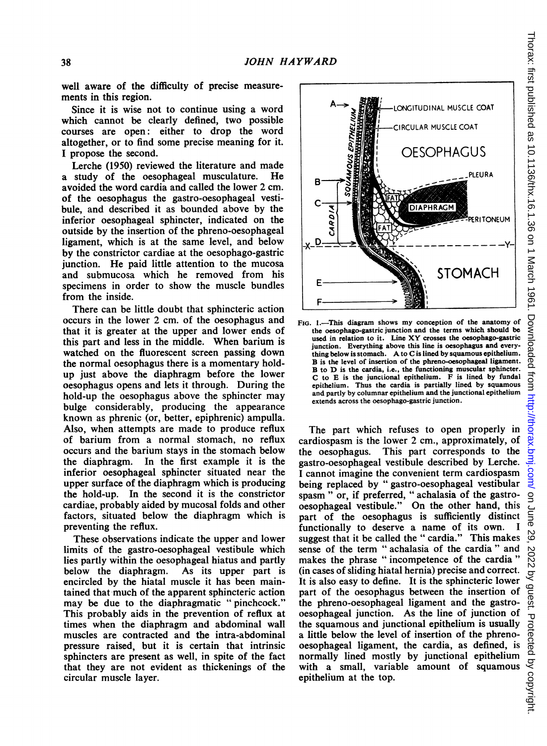well aware of the difficulty of precise measurements in this region.

Since it is wise not to continue using a word which cannot be clearly defined, two possible courses are open: either to drop the word altogether, or to find some precise meaning for it. I propose the second.

Lerche (1950) reviewed the literature and made a study of the oesophageal musculature. He avoided the word cardia and called the lower 2 cm. of the oesophagus the gastro-oesophageal vestibule, and described it as bounded above by the inferior oesophageal sphincter, indicated on the outside by the insertion of the phreno-oesophageal ligament, which is at the same level, and below by the constrictor cardiae at the oesophago-gastric junction. He paid little attention to the mucosa and submucosa which he removed from his specimens in order to show the muscle bundles from the inside.

There can be little doubt that sphincteric action occurs in the lower 2 cm. of the oesophagus and that it is greater at the upper and lower ends of this part and less in the middle. When barium is watched on the fluorescent screen passing down the normal oesophagus there is a momentary holdup just above the diaphragm before the lower oesophagus opens and lets it through. During the hold-up the oesophagus above the sphincter may bulge considerably, producing the appearance known as phrenic (or, better, epiphrenic) ampulla. Also, when attempts are made to produce refiux of barium from a normal stomach, no refiux occurs and the barium stays in the stomach below the diaphragm. In the first example it is the inferior oesophageal sphincter situated near the upper surface of the diaphragm which is producing the hold-up. In the second it is the constrictor cardiae, probably aided by mucosal folds and other factors, situated below the diaphragm which is preventing the reflux.

These observations indicate the upper and lower limits of the gastro-oesophageal vestibule which lies partly within the oesophageal hiatus and partly<br>below the diaphragm. As its upper part is As its upper part is encircled by the hiatal muscle it has been maintained that much of the apparent sphincteric action may be due to the diaphragmatic "pinchcock." This probably aids in the prevention of reflux at times when the diaphragm and abdominal wall muscles are contracted and the intra-abdominal pressure raised, but it is certain that intrinsic sphincters are present as well, in spite of the fact that they are not evident as thickenings of the circular muscle layer.



FIG. 1.-This diagram shows my conception of the anatomy of the oesophago-gastric junction and the terms which should be used in relation to it. Line XY crosses the oesophago-gastric iunction. Everything above this line is oesophagus and everything below is stomach. A to C is lined by squamous epithelium. B is the level of insertion of the phreno-oesophageal ligament. B to D is the cardia, i.e., the functioning muscular sphincter. C to E is the junctional epithelium. F is lined by fundal epithelium. Thus the cardia is partially lined by squamous and partly by columnar epithelium and the junctional epithelium extends across the oesophago-gastric junction.

The part which refuses to open properly in cardiospasm is the lower 2 cm., approximately, of the oesophagus. This part corresponds to the gastro-oesophageal vestibule described by Lerche. <sup>I</sup> cannot imagine the convenient term cardiospasm being replaced by " gastro-oesophageal vestibular spasm " or, if preferred, " achalasia of the gastrooesophageal vestibule." On the other hand, this part of the oesophagus is sufficiently distinct functionally to deserve a name of its own. <sup>I</sup> suggest that it be called the " cardia." This makes sense of the term " achalasia of the cardia " and makes the phrase " incompetence of the cardia " (in cases of sliding hiatal hernia) precise and correct. It is also easy to define. It is the sphincteric lower part of the oesophagus between the insertion of the phreno-oesophageal ligament and the gastrooesophageal junction. As the line of junction of the squamous and junctional epithelium is usually a little below the level of insertion of the phrenooesophageal ligament, the cardia, as defined, is normally lined mostly by junctional epithelium with a small, variable amount of squamous epithelium at the top.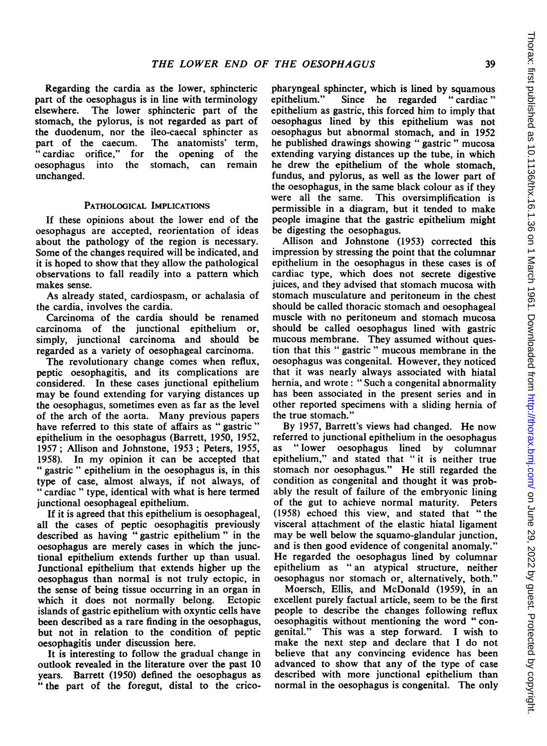Regarding the cardia as the lower, sphincteric part of the oesophagus is in line with terminology elsewhere. The lower sphincteric part of the stomach, the pylorus, is not regarded as part of the duodenum, nor the ileo-caecal sphincter as part of the caecum. The anatomists' term,<br>"cardiac orifice." for the opening of the  $\frac{a}{r}$  cardiac orifice," for the opening of the oscophagus into the stomach, can remain oesophagus into the stomach. unchanged.

#### PATHOLOGICAL IMPLICATIONS

If these opinions about the lower end of the oesophagus are accepted, reorientation of ideas about the pathology of the region is necessary. Some of the changes required will be indicated, and it is hoped to show that they allow the pathological observations to fall readily into a pattern which makes sense.

As already stated, cardiospasm, or achalasia of the cardia, involves the cardia.

Carcinoma of the cardia should be renamed carcinoma of the junctional epithelium or, simply, junctional carcinoma and should be regarded as a variety of oesophageal carcinoma.

The revolutionary change comes when reflux, peptic oesophagitis, and its complications are considered. In these cases junctional epithelium may be found extending for varying distances up the oesophagus, sometimes even as far as the level of the arch of the aorta. Many previous papers have referred to this state of affairs as "gastric" epithelium in the oesophagus (Barrett, 1950, 1952, 1957; Allison and Johnstone, 1953; Peters, 1955, 1958). In my opinion it can be accepted that " gastric " epithelium in the oesophagus is, in this type of case, almost always, if not always, of " cardiac " type, identical with what is here termed junctional oesophageal epithelium.

If it is agreed that this epithelium is oesophageal, all the cases of peptic oesophagitis previously described as having "gastric epithelium " in the oesophagus are merely cases in which the junctional epithelium extends further up than usual. Junctional epithelium that extends higher up the oesophagus than normal is not truly ectopic, in the sense of being tissue occurring in an organ in<br>which it does not normally belong. Ectopic which it does not normally belong. islands of gastric epithelium with oxyntic cells have been described as a rare finding in the oesophagus, but not in relation to the condition of peptic oesophagitis under discussion here.

It is interesting to follow the gradual change in outlook revealed in the literature over the past 10 years. Barrett (1950) defined the oesophagus as "the part of the foregut, distal to the cricopharyngeal sphincter, which is lined by squamous<br>epithelium." Since he regarded "cardiac" Since he regarded " cardiac " epithelium as gastric, this forced him to imply that oesophagus lined by this epithelium was not oesophagus but abnormal stomach, and in 1952 he published drawings showing " gastric " mucosa extending varying distances up the tube, in which he drew the epithelium of the whole stomach, fundus, and pylorus, as well as the lower part of the oesophagus, in the same black colour as if they were all the same. This oversimplification is permissible in a diagram, but it tended to make people imagine that the gastric epithelium might be digesting the oesophagus.

Allison and Johnstone (1953) corrected this impression by stressing the point that the columnar epithelium in the oesophagus in these cases is of cardiac type, which does not secrete digestive juices, and they advised that stomach mucosa with stomach musculature and peritoneum in the chest should be called thoracic stomach and oesophageal muscle with no peritoneum and stomach mucosa should be called oesophagus lined with gastric mucous membrane. They assumed without question that this " gastric " mucous membrane in the oesophagus was congenital. However, they noticed that it was nearly always associated with hiatal hernia, and wrote: " Such a congenital abnormality has been associated in the present series and in other reported specimens with a sliding hernia of the true stomach."

By 1957, Barrett's views had changed. He now referred to junctional epithelium in the oesophagus "lower oesophagus lined by columnar epithelium," and stated that "it is neither true stomach nor oesophagus." He still regarded the condition as congenital and thought it was probably the result of failure of the embryonic lining of the gut to achieve normal maturity. Peters (1958) echoed this view, and stated that " the visceral attachment of the elastic hiatal ligament may be well below the squamo-glandular junction, and is then good evidence of congenital anomaly." He regarded the oesophagus lined by columnar epithelium as "an atypical structure, neither oesophagus nor stomach or, alternatively, both."

Moersch, Ellis, and McDonald (1959), in an excellent purely factual article, seem to be the first people to describe the changes following reflux oesophagitis without mentioning the word "congenital." This was a step forward. <sup>I</sup> wish to make the next step and declare that <sup>I</sup> do not believe that any convincing evidence has been advanced to show that any of the type of case described with more junctional epithelium than normal in the oesophagus is congenital. The only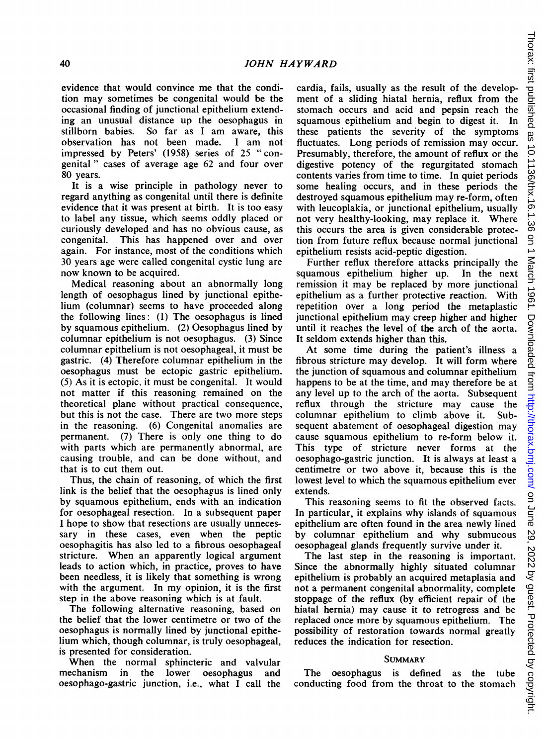evidence that would convince me that the condition may sometimes be congenital would be the occasional finding of junctional epithelium extending an unusual distance up the oesophagus in stillborn babies. So far as I am aware, this<br>observation has not been made. I am not observation has not been made. impressed by Peters' (1958) series of 25 "congenital" cases of average age 62 and four over 80 years.

It is a wise principle in pathology never to regard anything as congenital until there is definite evidence that it was present at birth. It is too easy to label any tissue, which seems oddly placed or curiously developed and has no obvious cause, as congenital. This has happened over and over again. For instance, most of the conditions which 30 years age were called congenital cystic lung are now known to be acquired.

Medical reasoning about an abnormally long length of oesophagus lined by junctional epithelium (columnar) seems to have proceeded along the following lines: (1) The oesophagus is lined by squamous epithelium. (2) Oesophagus lined by columnar epithelium is not oesophagus. (3) Since columnar epithelium is not oesophageal, it must be gastric. (4) Therefore columnar epithelium in the oesophagus must be ectopic gastric epithelium. (5) As it is ectopic, it must be congenital. It would not matter if this reasoning remained on the theoretical plane without practical consequence, but this is not the case. There are two more steps in the reasoning. (6) Congenital anomalies are permanent. (7) There is only one thing to do with parts which are permanently abnormal, are causing trouble, and can be done without, and that is to cut them out.

Thus, the chain of reasoning, of which the first link is the belief that the oesophagus is lined only by squamous epithelium, ends with an indication for oesophageal resection. In a subsequent paper <sup>I</sup> hope to show that resections are usually unnecessary in these cases, even when the peptic oesophagitis has also led to a fibrous oesophageal stricture. When an apparently logical argument leads to action which, in practice, proves to have been needless, it is likely that something is wrong with the argument. In my opinion, it is the first step in the above reasoning which is at fault.

The following alternative reasoning, based on the belief that the lower centimetre or two of the oesophagus is normally lined by junctional epithelium which, though columnar, is truly oesophageal, is presented for consideration.

When the normal sphincteric and valvular<br>mechanism in the lower oesophagus and lower oesophagus and oesophago-gastric junction, i.e., what <sup>I</sup> call the cardia, fails, usually as the result of the development of a sliding hiatal hernia, reflux from the stomach occurs and acid and pepsin reach the squamous epithelium and begin to digest it. In these patients the severity of the symptoms fluctuates. Long periods of remission may occur. Presumably, therefore, the amount of reflux or the digestive potency of the regurgitated stomach contents varies from time to time. In quiet periods some healing occurs, and in these periods the destroyed squamous epithelium may re-form, often with leucoplakia, or junctional epithelium, usually not very healthy-looking, may replace it. Where this occurs the area is given considerable protection from future reflux because normal junctional epithelium resists acid-peptic digestion.

Further reflux therefore attacks principally the squamous epithelium higher up. In the next remission it may be replaced by more junctional epithelium as a further protective reaction. With repetition over a long period the metaplastic junctional epithelium may creep higher and higher until it reaches the level of the arch of the aorta. It seldom extends higher than this.

At some time during the patient's illness a fibrous stricture may develop. It will form where the junction of squamous and columnar epithelium happens to be at the time, and may therefore be at any level up to the arch of the aorta. Subsequent reflux through the stricture may cause the columnar epithelium to climb above it. Subsequent abatement of oesophageal digestion may cause squamous epithelium to re-form below it. This type of stricture never forms at the oesophago-gastric junction. It is always at least a centimetre or two above it, because this is the lowest level to which the squamous epithelium ever extends.

This reasoning seems to fit the observed facts. In particular, it explains why islands of squamous epithelium are often found in the area newly lined by columnar epithelium and why submucous oesophageal glands frequently survive under it.

The last step in the reasoning is important. Since the abnormally highly situated columnar epithelium is probably an acquired metaplasia and not a permanent congenital abnormality, complete stoppage of the reflux (by efficient repair of the hiatal hernia) may cause it to retrogress and be replaced once more by squamous epithelium. The possibility of restoration towards normal greatly reduces the indication tor resection.

#### **SUMMARY**

The oesophagus is defined as the tube conducting food from the throat to the stomach